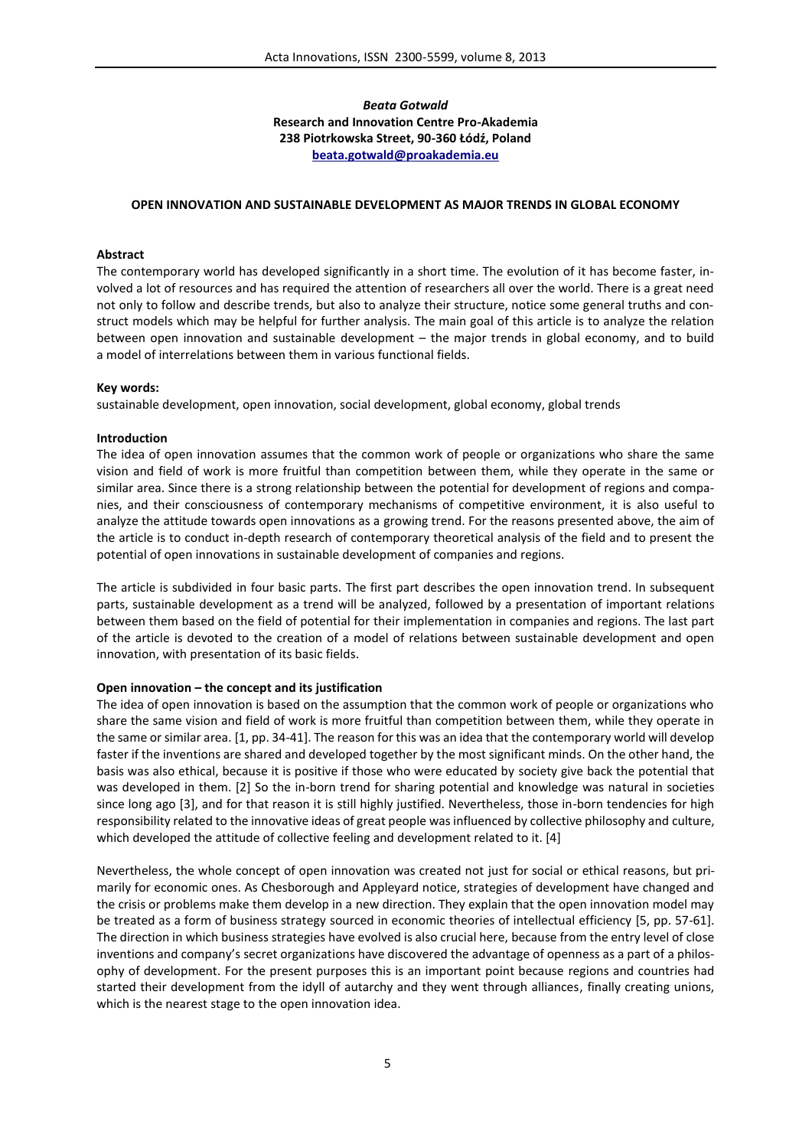# *Beata Gotwald* **Research and Innovation Centre Pro-Akademia 238 Piotrkowska Street, 90-360 Łódź, Poland beata.gotwald@proakademia.eu**

### **OPEN INNOVATION AND SUSTAINABLE DEVELOPMENT AS MAJOR TRENDS IN GLOBAL ECONOMY**

## **Abstract**

The contemporary world has developed significantly in a short time. The evolution of it has become faster, involved a lot of resources and has required the attention of researchers all over the world. There is a great need not only to follow and describe trends, but also to analyze their structure, notice some general truths and construct models which may be helpful for further analysis. The main goal of this article is to analyze the relation between open innovation and sustainable development – the major trends in global economy, and to build a model of interrelations between them in various functional fields.

#### **Key words:**

sustainable development, open innovation, social development, global economy, global trends

## **Introduction**

The idea of open innovation assumes that the common work of people or organizations who share the same vision and field of work is more fruitful than competition between them, while they operate in the same or similar area. Since there is a strong relationship between the potential for development of regions and companies, and their consciousness of contemporary mechanisms of competitive environment, it is also useful to analyze the attitude towards open innovations as a growing trend. For the reasons presented above, the aim of the article is to conduct in-depth research of contemporary theoretical analysis of the field and to present the potential of open innovations in sustainable development of companies and regions.

The article is subdivided in four basic parts. The first part describes the open innovation trend. In subsequent parts, sustainable development as a trend will be analyzed, followed by a presentation of important relations between them based on the field of potential for their implementation in companies and regions. The last part of the article is devoted to the creation of a model of relations between sustainable development and open innovation, with presentation of its basic fields.

# **Open innovation – the concept and its justification**

The idea of open innovation is based on the assumption that the common work of people or organizations who share the same vision and field of work is more fruitful than competition between them, while they operate in the same or similar area. [1, pp. 34-41]. The reason for this was an idea that the contemporary world will develop faster if the inventions are shared and developed together by the most significant minds. On the other hand, the basis was also ethical, because it is positive if those who were educated by society give back the potential that was developed in them. [2] So the in-born trend for sharing potential and knowledge was natural in societies since long ago [3], and for that reason it is still highly justified. Nevertheless, those in-born tendencies for high responsibility related to the innovative ideas of great people was influenced by collective philosophy and culture, which developed the attitude of collective feeling and development related to it. [4]

Nevertheless, the whole concept of open innovation was created not just for social or ethical reasons, but primarily for economic ones. As Chesborough and Appleyard notice, strategies of development have changed and the crisis or problems make them develop in a new direction. They explain that the open innovation model may be treated as a form of business strategy sourced in economic theories of intellectual efficiency [5, pp. 57-61]. The direction in which business strategies have evolved is also crucial here, because from the entry level of close inventions and company's secret organizations have discovered the advantage of openness as a part of a philosophy of development. For the present purposes this is an important point because regions and countries had started their development from the idyll of autarchy and they went through alliances, finally creating unions, which is the nearest stage to the open innovation idea.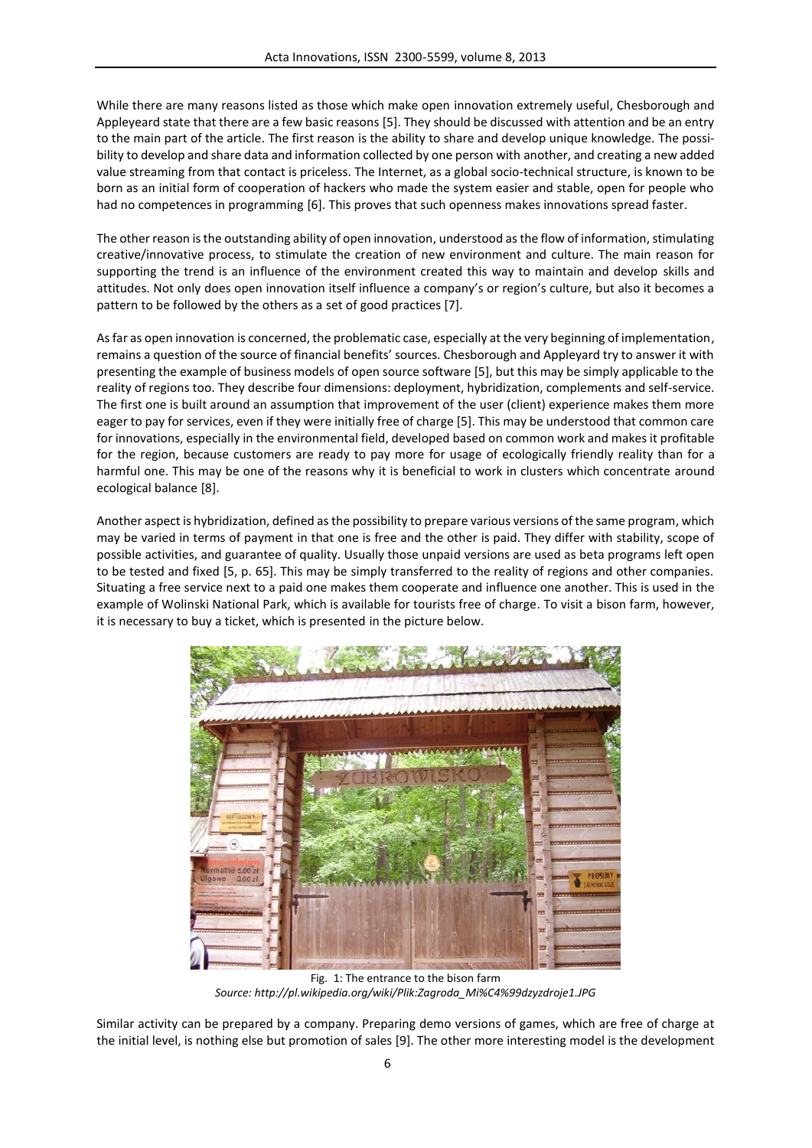While there are many reasons listed as those which make open innovation extremely useful, Chesborough and Appleyeard state that there are a few basic reasons [5]. They should be discussed with attention and be an entry to the main part of the article. The first reason is the ability to share and develop unique knowledge. The possibility to develop and share data and information collected by one person with another, and creating a new added value streaming from that contact is priceless. The Internet, as a global socio-technical structure, is known to be born as an initial form of cooperation of hackers who made the system easier and stable, open for people who had no competences in programming [6]. This proves that such openness makes innovations spread faster.

The other reason isthe outstanding ability of open innovation, understood as the flow of information, stimulating creative/innovative process, to stimulate the creation of new environment and culture. The main reason for supporting the trend is an influence of the environment created this way to maintain and develop skills and attitudes. Not only does open innovation itself influence a company's or region's culture, but also it becomes a pattern to be followed by the others as a set of good practices [7].

As far as open innovation is concerned, the problematic case, especially at the very beginning of implementation, remains a question of the source of financial benefits' sources. Chesborough and Appleyard try to answer it with presenting the example of business models of open source software [5], but this may be simply applicable to the reality of regions too. They describe four dimensions: deployment, hybridization, complements and self-service. The first one is built around an assumption that improvement of the user (client) experience makes them more eager to pay for services, even if they were initially free of charge [5]. This may be understood that common care for innovations, especially in the environmental field, developed based on common work and makes it profitable for the region, because customers are ready to pay more for usage of ecologically friendly reality than for a harmful one. This may be one of the reasons why it is beneficial to work in clusters which concentrate around ecological balance [8].

Another aspect is hybridization, defined as the possibility to prepare various versions of the same program, which may be varied in terms of payment in that one is free and the other is paid. They differ with stability, scope of possible activities, and guarantee of quality. Usually those unpaid versions are used as beta programs left open to be tested and fixed [5, p. 65]. This may be simply transferred to the reality of regions and other companies. Situating a free service next to a paid one makes them cooperate and influence one another. This is used in the example of Wolinski National Park, which is available for tourists free of charge. To visit a bison farm, however, it is necessary to buy a ticket, which is presented in the picture below.



Fig. 1: The entrance to the bison farm *Source: http://pl.wikipedia.org/wiki/Plik:Zagroda\_Mi%C4%99dzyzdroje1.JPG*

Similar activity can be prepared by a company. Preparing demo versions of games, which are free of charge at the initial level, is nothing else but promotion of sales [9]. The other more interesting model is the development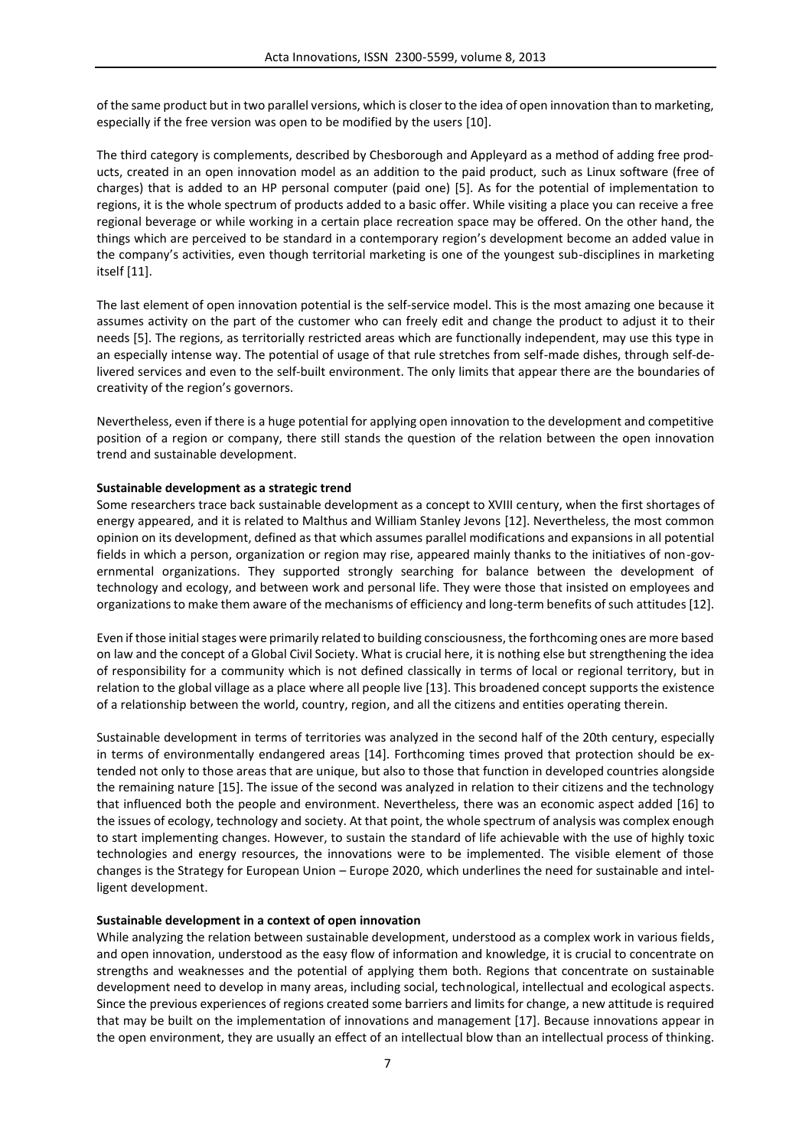of the same product but in two parallel versions, which is closer to the idea of open innovation than to marketing, especially if the free version was open to be modified by the users [10].

The third category is complements, described by Chesborough and Appleyard as a method of adding free products, created in an open innovation model as an addition to the paid product, such as Linux software (free of charges) that is added to an HP personal computer (paid one) [5]. As for the potential of implementation to regions, it is the whole spectrum of products added to a basic offer. While visiting a place you can receive a free regional beverage or while working in a certain place recreation space may be offered. On the other hand, the things which are perceived to be standard in a contemporary region's development become an added value in the company's activities, even though territorial marketing is one of the youngest sub-disciplines in marketing itself [11].

The last element of open innovation potential is the self-service model. This is the most amazing one because it assumes activity on the part of the customer who can freely edit and change the product to adjust it to their needs [5]. The regions, as territorially restricted areas which are functionally independent, may use this type in an especially intense way. The potential of usage of that rule stretches from self-made dishes, through self-delivered services and even to the self-built environment. The only limits that appear there are the boundaries of creativity of the region's governors.

Nevertheless, even if there is a huge potential for applying open innovation to the development and competitive position of a region or company, there still stands the question of the relation between the open innovation trend and sustainable development.

# **Sustainable development as a strategic trend**

Some researchers trace back sustainable development as a concept to XVIII century, when the first shortages of energy appeared, and it is related to Malthus and William Stanley Jevons [12]. Nevertheless, the most common opinion on its development, defined as that which assumes parallel modifications and expansions in all potential fields in which a person, organization or region may rise, appeared mainly thanks to the initiatives of non-governmental organizations. They supported strongly searching for balance between the development of technology and ecology, and between work and personal life. They were those that insisted on employees and organizations to make them aware of the mechanisms of efficiency and long-term benefits of such attitudes [12].

Even if those initial stages were primarily related to building consciousness, the forthcoming ones are more based on law and the concept of a Global Civil Society. What is crucial here, it is nothing else but strengthening the idea of responsibility for a community which is not defined classically in terms of local or regional territory, but in relation to the global village as a place where all people live [13]. This broadened concept supports the existence of a relationship between the world, country, region, and all the citizens and entities operating therein.

Sustainable development in terms of territories was analyzed in the second half of the 20th century, especially in terms of environmentally endangered areas [14]. Forthcoming times proved that protection should be extended not only to those areas that are unique, but also to those that function in developed countries alongside the remaining nature [15]. The issue of the second was analyzed in relation to their citizens and the technology that influenced both the people and environment. Nevertheless, there was an economic aspect added [16] to the issues of ecology, technology and society. At that point, the whole spectrum of analysis was complex enough to start implementing changes. However, to sustain the standard of life achievable with the use of highly toxic technologies and energy resources, the innovations were to be implemented. The visible element of those changes is the Strategy for European Union – Europe 2020, which underlines the need for sustainable and intelligent development.

#### **Sustainable development in a context of open innovation**

While analyzing the relation between sustainable development, understood as a complex work in various fields, and open innovation, understood as the easy flow of information and knowledge, it is crucial to concentrate on strengths and weaknesses and the potential of applying them both. Regions that concentrate on sustainable development need to develop in many areas, including social, technological, intellectual and ecological aspects. Since the previous experiences of regions created some barriers and limits for change, a new attitude is required that may be built on the implementation of innovations and management [17]. Because innovations appear in the open environment, they are usually an effect of an intellectual blow than an intellectual process of thinking.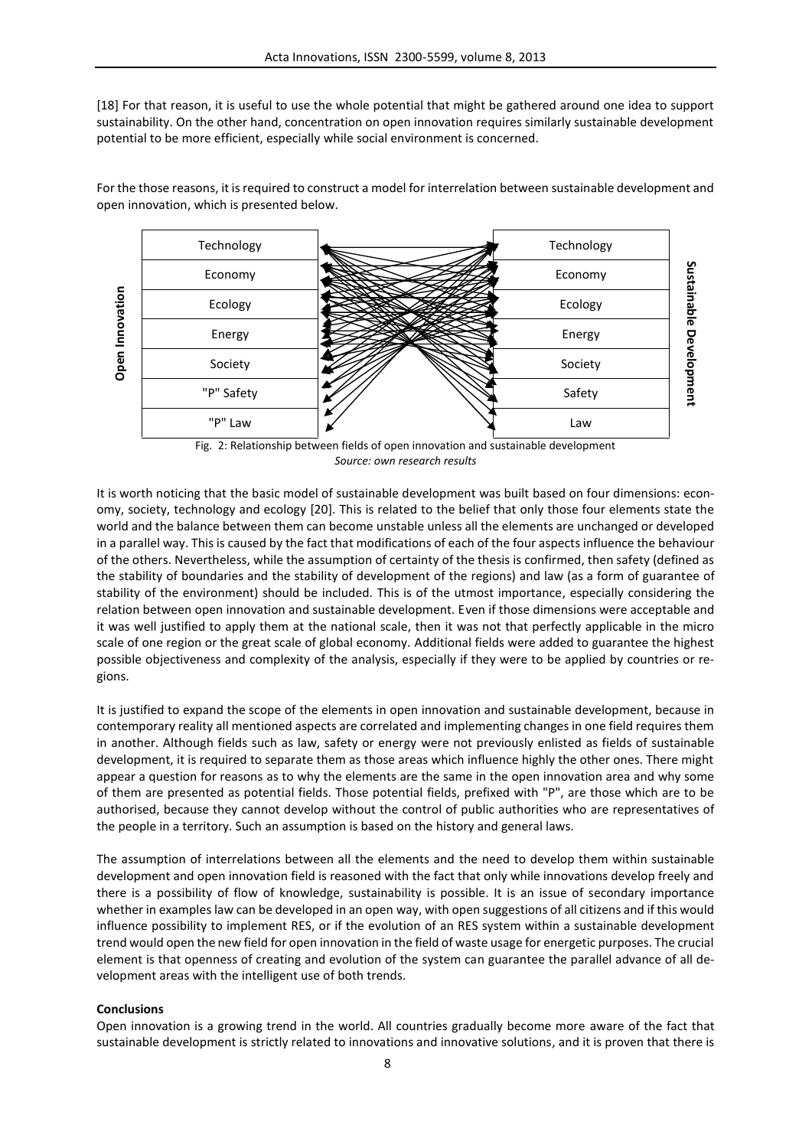[18] For that reason, it is useful to use the whole potential that might be gathered around one idea to support sustainability. On the other hand, concentration on open innovation requires similarly sustainable development potential to be more efficient, especially while social environment is concerned.

**Open Innovation** Technology **Technology** Technology **Sustainable Development** Economy RESERVED Economy Ecology Ecology **External Strategy** Energy **Energy** Energy Society **Society** Society "P" Safety  $\mathbb{Z}/\mathbb{Z}$  Safety  $P''$  Law Law  $\bigvee$  Law

For the those reasons, it is required to construct a model for interrelation between sustainable development and open innovation, which is presented below.

It is worth noticing that the basic model of sustainable development was built based on four dimensions: economy, society, technology and ecology [20]. This is related to the belief that only those four elements state the world and the balance between them can become unstable unless all the elements are unchanged or developed in a parallel way. This is caused by the fact that modifications of each of the four aspects influence the behaviour of the others. Nevertheless, while the assumption of certainty of the thesis is confirmed, then safety (defined as the stability of boundaries and the stability of development of the regions) and law (as a form of guarantee of stability of the environment) should be included. This is of the utmost importance, especially considering the relation between open innovation and sustainable development. Even if those dimensions were acceptable and it was well justified to apply them at the national scale, then it was not that perfectly applicable in the micro scale of one region or the great scale of global economy. Additional fields were added to guarantee the highest possible objectiveness and complexity of the analysis, especially if they were to be applied by countries or regions.

It is justified to expand the scope of the elements in open innovation and sustainable development, because in contemporary reality all mentioned aspects are correlated and implementing changes in one field requires them in another. Although fields such as law, safety or energy were not previously enlisted as fields of sustainable development, it is required to separate them as those areas which influence highly the other ones. There might appear a question for reasons as to why the elements are the same in the open innovation area and why some of them are presented as potential fields. Those potential fields, prefixed with "P", are those which are to be authorised, because they cannot develop without the control of public authorities who are representatives of the people in a territory. Such an assumption is based on the history and general laws.

The assumption of interrelations between all the elements and the need to develop them within sustainable development and open innovation field is reasoned with the fact that only while innovations develop freely and there is a possibility of flow of knowledge, sustainability is possible. It is an issue of secondary importance whether in examples law can be developed in an open way, with open suggestions of all citizens and if this would influence possibility to implement RES, or if the evolution of an RES system within a sustainable development trend would open the new field for open innovation in the field of waste usage for energetic purposes. The crucial element is that openness of creating and evolution of the system can guarantee the parallel advance of all development areas with the intelligent use of both trends.

### **Conclusions**

Open innovation is a growing trend in the world. All countries gradually become more aware of the fact that sustainable development is strictly related to innovations and innovative solutions, and it is proven that there is

Fig. 2: Relationship between fields of open innovation and sustainable development *Source: own research results*